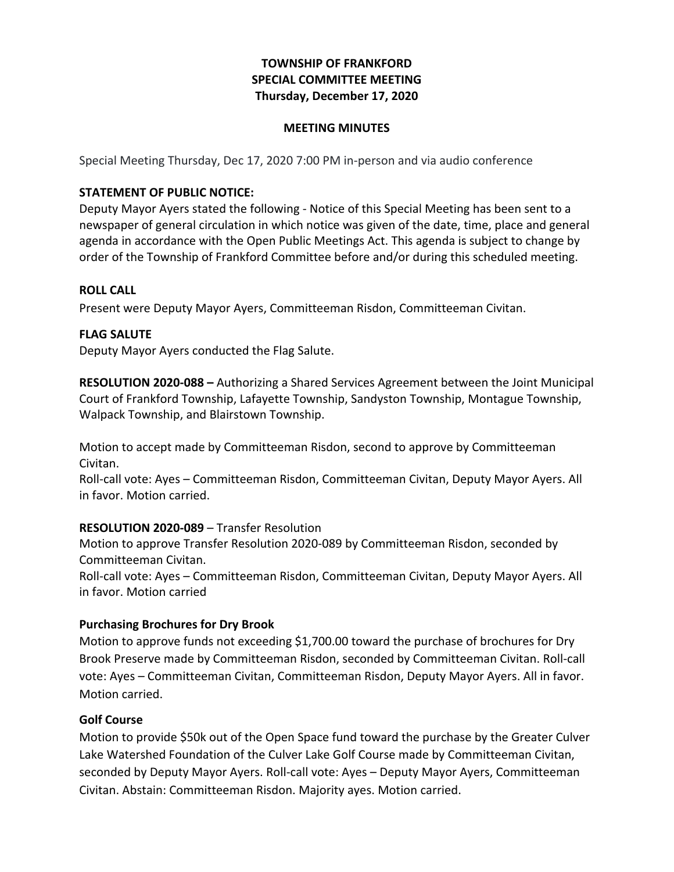# **TOWNSHIP OF FRANKFORD SPECIAL COMMITTEE MEETING Thursday, December 17, 2020**

### **MEETING MINUTES**

Special Meeting Thursday, Dec 17, 2020 7:00 PM in-person and via audio conference

### **STATEMENT OF PUBLIC NOTICE:**

Deputy Mayor Ayers stated the following - Notice of this Special Meeting has been sent to a newspaper of general circulation in which notice was given of the date, time, place and general agenda in accordance with the Open Public Meetings Act. This agenda is subject to change by order of the Township of Frankford Committee before and/or during this scheduled meeting.

#### **ROLL CALL**

Present were Deputy Mayor Ayers, Committeeman Risdon, Committeeman Civitan.

#### **FLAG SALUTE**

 Deputy Mayor Ayers conducted the Flag Salute.

**RESOLUTION 2020-088** - Authorizing a Shared Services Agreement between the Joint Municipal Court of Frankford Township, Lafayette Township, Sandyston Township, Montague Township, Walpack Township, and Blairstown Township.

Motion to accept made by Committeeman Risdon, second to approve by Committeeman Civitan.

Roll-call vote: Ayes - Committeeman Risdon, Committeeman Civitan, Deputy Mayor Ayers. All in favor. Motion carried.

#### **RESOLUTION 2020-089** – Transfer Resolution

Motion to approve Transfer Resolution 2020-089 by Committeeman Risdon, seconded by Committeeman Civitan.

 Roll-call vote: Ayes – Committeeman Risdon, Committeeman Civitan, Deputy Mayor Ayers. All in favor. Motion carried

### **Purchasing Brochures for Dry Brook**

Motion to approve funds not exceeding \$1,700.00 toward the purchase of brochures for Dry Brook Preserve made by Committeeman Risdon, seconded by Committeeman Civitan. Roll-call vote: Ayes – Committeeman Civitan, Committeeman Risdon, Deputy Mayor Ayers. All in favor. Motion carried.

#### **Golf Course**

Motion to provide \$50k out of the Open Space fund toward the purchase by the Greater Culver Lake Watershed Foundation of the Culver Lake Golf Course made by Committeeman Civitan, seconded by Deputy Mayor Ayers. Roll-call vote: Ayes – Deputy Mayor Ayers, Committeeman Civitan. Abstain: Committeeman Risdon. Majority ayes. Motion carried.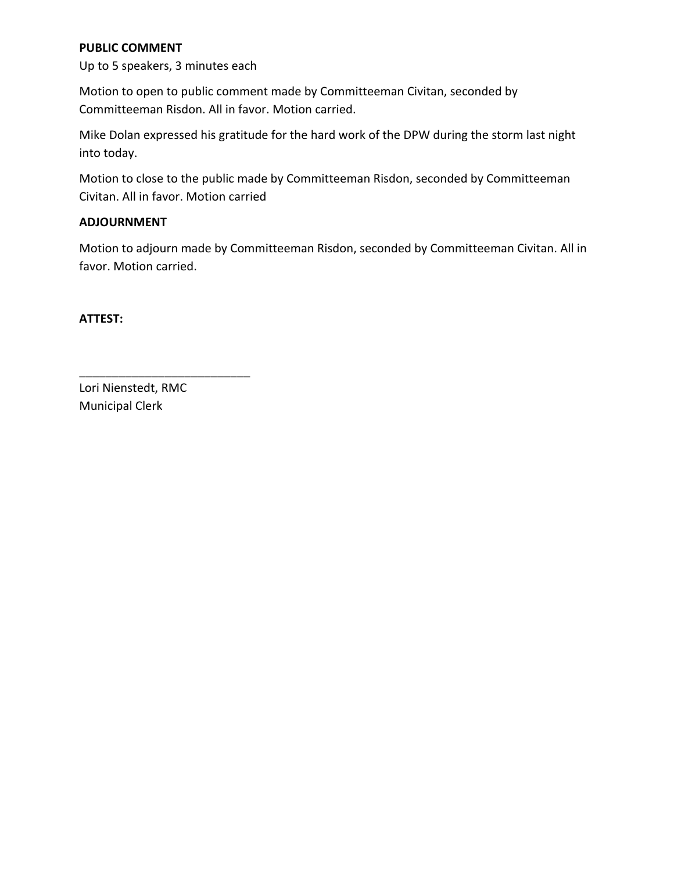### **PUBLIC COMMENT**

 Up to 5 speakers, 3 minutes each

Motion to open to public comment made by Committeeman Civitan, seconded by Committeeman Risdon. All in favor. Motion carried.

Mike Dolan expressed his gratitude for the hard work of the DPW during the storm last night into today.

 Motion to close to the public made by Committeeman Risdon, seconded by Committeeman Civitan. All in favor. Motion carried

### **ADJOURNMENT**

Motion to adjourn made by Committeeman Risdon, seconded by Committeeman Civitan. All in favor. Motion carried.

**ATTEST:**

 Lori Nienstedt, RMC Municipal Clerk

\_\_\_\_\_\_\_\_\_\_\_\_\_\_\_\_\_\_\_\_\_\_\_\_\_\_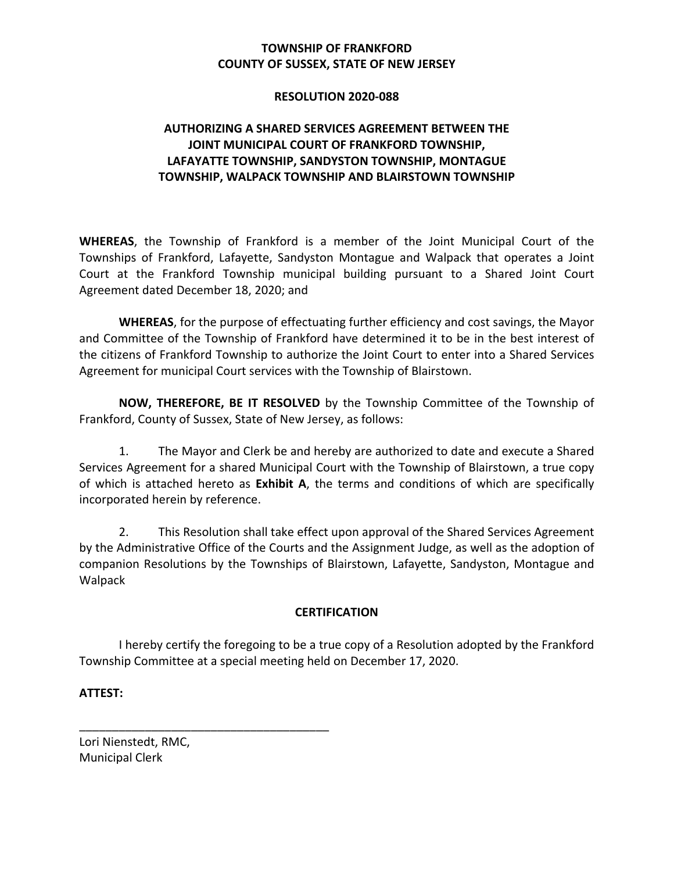# **COUNTY OF SUSSEX, STATE OF NEW JERSEY TOWNSHIP OF FRANKFORD**

#### **RESOLUTION 2020-088**

# **AUTHORIZING A SHARED SERVICES AGREEMENT BETWEEN THE JOINT MUNICIPAL COURT OF FRANKFORD TOWNSHIP, LAFAYATTE TOWNSHIP, SANDYSTON TOWNSHIP, MONTAGUE TOWNSHIP, WALPACK TOWNSHIP AND BLAIRSTOWN TOWNSHIP**

WHEREAS, the Township of Frankford is a member of the Joint Municipal Court of the Townships of Frankford, Lafayette, Sandyston Montague and Walpack that operates a Joint Court at the Frankford Township municipal building pursuant to a Shared Joint Court Agreement dated December 18, 2020; and

WHEREAS, for the purpose of effectuating further efficiency and cost savings, the Mayor and Committee of the Township of Frankford have determined it to be in the best interest of the citizens of Frankford Township to authorize the Joint Court to enter into a Shared Services Agreement for municipal Court services with the Township of Blairstown.

**NOW, THEREFORE, BE IT RESOLVED** by the Township Committee of the Township of Frankford, County of Sussex, State of New Jersey, as follows:

1. The Mayor and Clerk be and hereby are authorized to date and execute a Shared Services Agreement for a shared Municipal Court with the Township of Blairstown, a true copy of which is attached hereto as **Exhibit A**, the terms and conditions of which are specifically incorporated herein by reference.

2. This Resolution shall take effect upon approval of the Shared Services Agreement by the Administrative Office of the Courts and the Assignment Judge, as well as the adoption of companion Resolutions by the Townships of Blairstown, Lafayette, Sandyston, Montague and Walpack

### **CERTIFICATION**

I hereby certify the foregoing to be a true copy of a Resolution adopted by the Frankford Township Committee at a special meeting held on December 17, 2020.

**ATTEST:**

 Lori Nienstedt, RMC, Municipal Clerk

\_\_\_\_\_\_\_\_\_\_\_\_\_\_\_\_\_\_\_\_\_\_\_\_\_\_\_\_\_\_\_\_\_\_\_\_\_\_